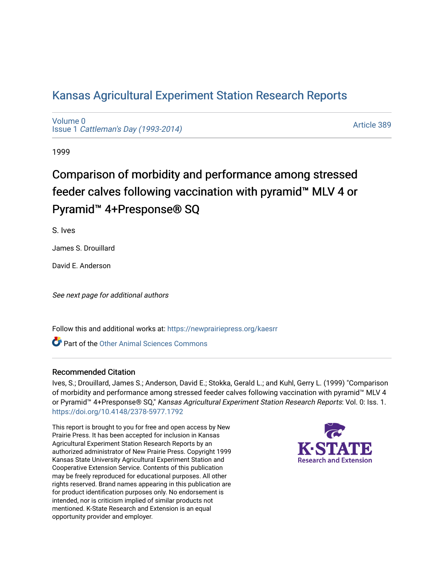# [Kansas Agricultural Experiment Station Research Reports](https://newprairiepress.org/kaesrr)

[Volume 0](https://newprairiepress.org/kaesrr/vol0) Issue 1 [Cattleman's Day \(1993-2014\)](https://newprairiepress.org/kaesrr/vol0/iss1) 

[Article 389](https://newprairiepress.org/kaesrr/vol0/iss1/389) 

1999

# Comparison of morbidity and performance among stressed feeder calves following vaccination with pyramid™ MLV 4 or Pyramid™ 4+Presponse® SQ

S. Ives

James S. Drouillard

David E. Anderson

See next page for additional authors

Follow this and additional works at: [https://newprairiepress.org/kaesrr](https://newprairiepress.org/kaesrr?utm_source=newprairiepress.org%2Fkaesrr%2Fvol0%2Fiss1%2F389&utm_medium=PDF&utm_campaign=PDFCoverPages) 

**C** Part of the [Other Animal Sciences Commons](http://network.bepress.com/hgg/discipline/82?utm_source=newprairiepress.org%2Fkaesrr%2Fvol0%2Fiss1%2F389&utm_medium=PDF&utm_campaign=PDFCoverPages)

#### Recommended Citation

Ives, S.; Drouillard, James S.; Anderson, David E.; Stokka, Gerald L.; and Kuhl, Gerry L. (1999) "Comparison of morbidity and performance among stressed feeder calves following vaccination with pyramid™ MLV 4 or Pyramid™ 4+Presponse® SQ," Kansas Agricultural Experiment Station Research Reports: Vol. 0: Iss. 1. <https://doi.org/10.4148/2378-5977.1792>

This report is brought to you for free and open access by New Prairie Press. It has been accepted for inclusion in Kansas Agricultural Experiment Station Research Reports by an authorized administrator of New Prairie Press. Copyright 1999 Kansas State University Agricultural Experiment Station and Cooperative Extension Service. Contents of this publication may be freely reproduced for educational purposes. All other rights reserved. Brand names appearing in this publication are for product identification purposes only. No endorsement is intended, nor is criticism implied of similar products not mentioned. K-State Research and Extension is an equal opportunity provider and employer.

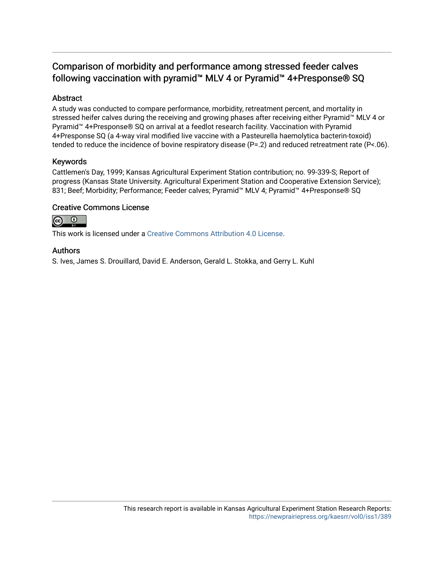# Comparison of morbidity and performance among stressed feeder calves following vaccination with pyramid™ MLV 4 or Pyramid™ 4+Presponse® SQ

## Abstract

A study was conducted to compare performance, morbidity, retreatment percent, and mortality in stressed heifer calves during the receiving and growing phases after receiving either Pyramid™ MLV 4 or Pyramid™ 4+Presponse® SQ on arrival at a feedlot research facility. Vaccination with Pyramid 4+Presponse SQ (a 4-way viral modified live vaccine with a Pasteurella haemolytica bacterin-toxoid) tended to reduce the incidence of bovine respiratory disease  $(P=.2)$  and reduced retreatment rate  $(P<.06)$ .

## Keywords

Cattlemen's Day, 1999; Kansas Agricultural Experiment Station contribution; no. 99-339-S; Report of progress (Kansas State University. Agricultural Experiment Station and Cooperative Extension Service); 831; Beef; Morbidity; Performance; Feeder calves; Pyramid™ MLV 4; Pyramid™ 4+Presponse® SQ

## Creative Commons License



This work is licensed under a [Creative Commons Attribution 4.0 License](https://creativecommons.org/licenses/by/4.0/).

#### Authors

S. Ives, James S. Drouillard, David E. Anderson, Gerald L. Stokka, and Gerry L. Kuhl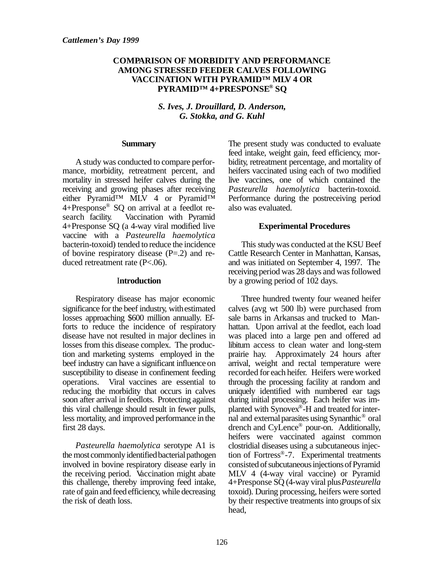#### **COMPARISON OF MORBIDITY AND PERFORMANCE AMONG STRESSED FEEDER CALVES FOLLOWING VACCINATION WITH PYRAMID™ MLV 4 OR PYRAMID™ 4+PRESPONSE® SQ**

*S. Ives, J. Drouillard, D. Anderson, G. Stokka, and G. Kuhl*

#### **Summary**

A study was conducted to compare performance, morbidity, retreatment percent, and mortality in stressed heifer calves during the receiving and growing phases after receiving either Pyramid™ MLV 4 or Pyramid™ 4+Presponse® SQ on arrival at a feedlot research facility. Vaccination with Pyramid 4+Presponse SQ (a 4-way viral modified live vaccine with a *Pasteurella haemolytica* bacterin-toxoid) tended to reduce the incidence of bovine respiratory disease  $(P=2)$  and reduced retreatment rate (P<.06).

#### I**ntroduction**

Respiratory disease has major economic significance for the beef industry, with estimated losses approaching \$600 million annually. Efforts to reduce the incidence of respiratory disease have not resulted in major declines in losses from this disease complex. The production and marketing systems employed in the beef industry can have a significant influence on susceptibility to disease in confinement feeding operations. Viral vaccines are essential to reducing the morbidity that occurs in calves soon after arrival in feedlots. Protecting against this viral challenge should result in fewer pulls, less mortality, and improved performance in the first 28 days.

*Pasteurella haemolytica* serotype A1 is the most commonly identified bacterial pathogen involved in bovine respiratory disease early in the receiving period. Vaccination might abate this challenge, thereby improving feed intake, rate of gain and feed efficiency, while decreasing the risk of death loss.

The present study was conducted to evaluate feed intake, weight gain, feed efficiency, morbidity, retreatment percentage, and mortality of heifers vaccinated using each of two modified live vaccines, one of which contained the *Pasteurella haemolytica* bacterin-toxoid. Performance during the postreceiving period also was evaluated.

#### **Experimental Procedures**

This study was conducted at the KSU Beef Cattle Research Center in Manhattan, Kansas, and was initiated on September 4, 1997. The receiving period was 28 days and was followed by a growing period of 102 days.

Three hundred twenty four weaned heifer calves (avg wt 500 lb) were purchased from sale barns in Arkansas and trucked to Manhattan. Upon arrival at the feedlot, each load was placed into a large pen and offered ad libitum access to clean water and long-stem prairie hay. Approximately 24 hours after arrival, weight and rectal temperature were recorded for each heifer. Heifers were worked through the processing facility at random and uniquely identified with numbered ear tags during initial processing. Each heifer was implanted with Synovex<sup>®</sup>-H and treated for internal and external parasites using Synanthic® oral drench and CyLence® pour-on. Additionally, heifers were vaccinated against common clostridial diseases using a subcutaneous injection of Fortress® -7. Experimental treatments consisted of subcutaneous injections of Pyramid MLV 4 (4-way viral vaccine) or Pyramid 4+Presponse SQ (4-way viral plus *Pasteurella* toxoid). During processing, heifers were sorted by their respective treatments into groups of six head,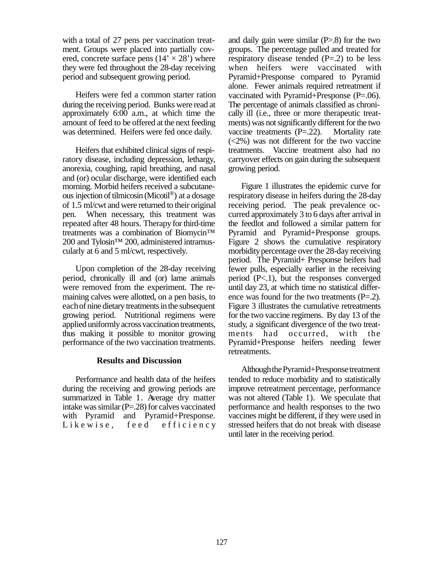with a total of 27 pens per vaccination treatment. Groups were placed into partially covered, concrete surface pens  $(14' \times 28')$  where they were fed throughout the 28-day receiving period and subsequent growing period.

Heifers were fed a common starter ration during the receiving period. Bunks were read at approximately 6:00 a.m., at which time the amount of feed to be offered at the next feeding was determined. Heifers were fed once daily.

Heifers that exhibited clinical signs of respiratory disease, including depression, lethargy, anorexia, coughing, rapid breathing, and nasal and (or) ocular discharge, were identified each morning. Morbid heifers received a subcutaneous injection of tilmicosin (Micotil®) at a dosage of 1.5 ml/cwt and were returned to their original pen. When necessary, this treatment was repeated after 48 hours. Therapy for third-time treatments was a combination of Biomycin™ 200 and Tylosin™ 200, administered intramuscularly at 6 and 5 ml/cwt, respectively.

Upon completion of the 28-day receiving period, chronically ill and (or) lame animals were removed from the experiment. The remaining calves were allotted, on a pen basis, to each of nine dietary treatments in the subsequent growing period. Nutritional regimens were applied uniformly across vaccination treatments, thus making it possible to monitor growing performance of the two vaccination treatments.

#### **Results and Discussion**

Performance and health data of the heifers during the receiving and growing periods are summarized in Table 1. Average dry matter intake was similar  $(P=.28)$  for calves vaccinated with Pyramid and Pyramid+Presponse. Likewise, feed efficiency and daily gain were similar  $(P>0.8)$  for the two groups. The percentage pulled and treated for respiratory disease tended  $(P=0.2)$  to be less when heifers were vaccinated with Pyramid+Presponse compared to Pyramid alone. Fewer animals required retreatment if vaccinated with Pyramid+Presponse (P=.06). The percentage of animals classified as chronically ill (i.e., three or more therapeutic treatments) was not significantly different for the two vaccine treatments (P=.22). Mortality rate  $(<2\%)$  was not different for the two vaccine treatments. Vaccine treatment also had no carryover effects on gain during the subsequent growing period.

Figure 1 illustrates the epidemic curve for respiratory disease in heifers during the 28-day receiving period. The peak prevalence occurred approximately 3 to 6 days after arrival in the feedlot and followed a similar pattern for Pyramid and Pyramid+Presponse groups. Figure 2 shows the cumulative respiratory morbidity percentage over the 28-day receiving period. The Pyramid+ Presponse heifers had fewer pulls, especially earlier in the receiving period (P<.1), but the responses converged until day 23, at which time no statistical difference was found for the two treatments (P=.2). Figure 3 illustrates the cumulative retreatments for the two vaccine regimens. By day 13 of the study, a significant divergence of the two treatments had occurred, with the Pyramid+Presponse heifers needing fewer retreatments.

Although the Pyramid+Presponse treatment tended to reduce morbidity and to statistically improve retreatment percentage, performance was not altered (Table 1). We speculate that performance and health responses to the two vaccines might be different, if they were used in stressed heifers that do not break with disease until later in the receiving period.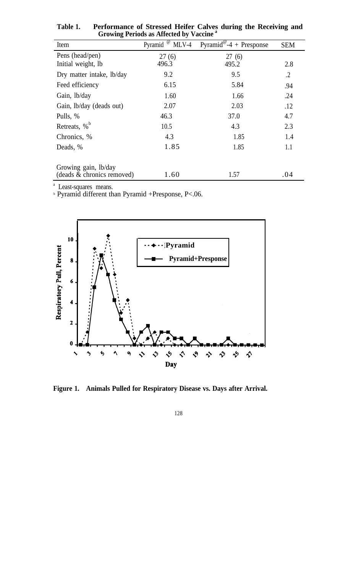| Item                       | Pyramid <sup>@</sup> MLV-4 | Pyramid <sup>@</sup> -4 + Presponse | <b>SEM</b> |
|----------------------------|----------------------------|-------------------------------------|------------|
| Pens (head/pen)            | 27(6)                      | 27(6)                               |            |
| Initial weight, lb         | 496.3                      | 495.2                               | 2.8        |
| Dry matter intake, lb/day  | 9.2                        | 9.5                                 | $\cdot$ .2 |
| Feed efficiency            | 6.15                       | 5.84                                | .94        |
| Gain, lb/day               | 1.60                       | 1.66                                | .24        |
| Gain, lb/day (deads out)   | 2.07                       | 2.03                                | .12        |
| Pulls, %                   | 46.3                       | 37.0                                | 4.7        |
| Retreats, % <sup>b</sup>   | 10.5                       | 4.3                                 | 2.3        |
| Chronics, %                | 4.3                        | 1.85                                | 1.4        |
| Deads, %                   | 1.85                       | 1.85                                | 1.1        |
|                            |                            |                                     |            |
| Growing gain, lb/day       |                            |                                     |            |
| (deads & chronics removed) | 1.60                       | 1.57                                | .04        |

**Table 1. Performance of Stressed Heifer Calves during the Receiving and Growing Periods as Affected by Vaccine <sup>a</sup>**

<sup>a</sup> Least-squares means.

<sup>b</sup> Pyramid different than Pyramid +Presponse, P<.06.



**Figure 1. Animals Pulled for Respiratory Disease vs. Days after Arrival.**